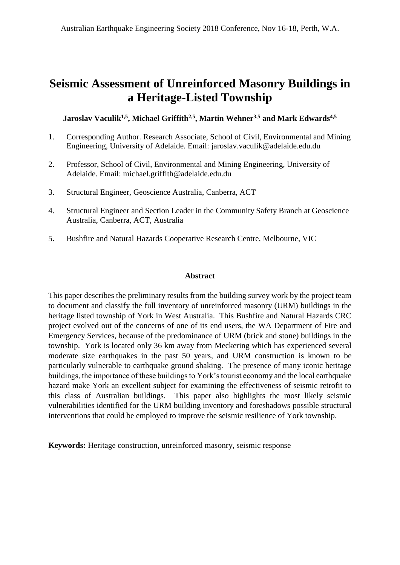# **Seismic Assessment of Unreinforced Masonry Buildings in a Heritage-Listed Township**

**Jaroslav Vaculik1,5 , Michael Griffith2,5 , Martin Wehner3,5 and Mark Edwards4,5**

- 1. Corresponding Author. Research Associate, School of Civil, Environmental and Mining Engineering, University of Adelaide. Email: jaroslav.vaculik@adelaide.edu.du
- 2. Professor, School of Civil, Environmental and Mining Engineering, University of Adelaide. Email: michael.griffith@adelaide.edu.du
- 3. Structural Engineer, Geoscience Australia, Canberra, ACT
- 4. Structural Engineer and Section Leader in the Community Safety Branch at Geoscience Australia, Canberra, ACT, Australia
- 5. Bushfire and Natural Hazards Cooperative Research Centre, Melbourne, VIC

#### **Abstract**

This paper describes the preliminary results from the building survey work by the project team to document and classify the full inventory of unreinforced masonry (URM) buildings in the heritage listed township of York in West Australia. This Bushfire and Natural Hazards CRC project evolved out of the concerns of one of its end users, the WA Department of Fire and Emergency Services, because of the predominance of URM (brick and stone) buildings in the township. York is located only 36 km away from Meckering which has experienced several moderate size earthquakes in the past 50 years, and URM construction is known to be particularly vulnerable to earthquake ground shaking. The presence of many iconic heritage buildings, the importance of these buildings to York's tourist economy and the local earthquake hazard make York an excellent subject for examining the effectiveness of seismic retrofit to this class of Australian buildings. This paper also highlights the most likely seismic vulnerabilities identified for the URM building inventory and foreshadows possible structural interventions that could be employed to improve the seismic resilience of York township.

**Keywords:** Heritage construction, unreinforced masonry, seismic response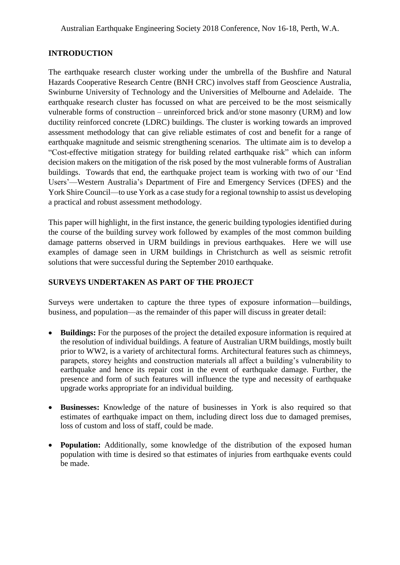#### **INTRODUCTION**

The earthquake research cluster working under the umbrella of the Bushfire and Natural Hazards Cooperative Research Centre (BNH CRC) involves staff from Geoscience Australia, Swinburne University of Technology and the Universities of Melbourne and Adelaide. The earthquake research cluster has focussed on what are perceived to be the most seismically vulnerable forms of construction – unreinforced brick and/or stone masonry (URM) and low ductility reinforced concrete (LDRC) buildings. The cluster is working towards an improved assessment methodology that can give reliable estimates of cost and benefit for a range of earthquake magnitude and seismic strengthening scenarios. The ultimate aim is to develop a "Cost-effective mitigation strategy for building related earthquake risk" which can inform decision makers on the mitigation of the risk posed by the most vulnerable forms of Australian buildings. Towards that end, the earthquake project team is working with two of our 'End Users'—Western Australia's Department of Fire and Emergency Services (DFES) and the York Shire Council—to use York as a case study for a regional township to assist us developing a practical and robust assessment methodology.

This paper will highlight, in the first instance, the generic building typologies identified during the course of the building survey work followed by examples of the most common building damage patterns observed in URM buildings in previous earthquakes. Here we will use examples of damage seen in URM buildings in Christchurch as well as seismic retrofit solutions that were successful during the September 2010 earthquake.

#### **SURVEYS UNDERTAKEN AS PART OF THE PROJECT**

Surveys were undertaken to capture the three types of exposure information—buildings, business, and population—as the remainder of this paper will discuss in greater detail:

- **Buildings:** For the purposes of the project the detailed exposure information is required at the resolution of individual buildings. A feature of Australian URM buildings, mostly built prior to WW2, is a variety of architectural forms. Architectural features such as chimneys, parapets, storey heights and construction materials all affect a building's vulnerability to earthquake and hence its repair cost in the event of earthquake damage. Further, the presence and form of such features will influence the type and necessity of earthquake upgrade works appropriate for an individual building.
- **Businesses:** Knowledge of the nature of businesses in York is also required so that estimates of earthquake impact on them, including direct loss due to damaged premises, loss of custom and loss of staff, could be made.
- **Population:** Additionally, some knowledge of the distribution of the exposed human population with time is desired so that estimates of injuries from earthquake events could be made.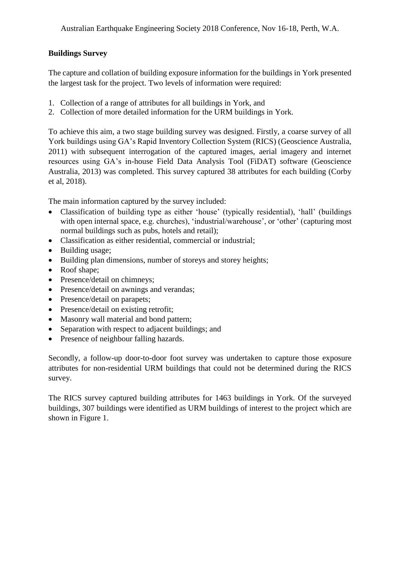# **Buildings Survey**

The capture and collation of building exposure information for the buildings in York presented the largest task for the project. Two levels of information were required:

- 1. Collection of a range of attributes for all buildings in York, and
- 2. Collection of more detailed information for the URM buildings in York.

To achieve this aim, a two stage building survey was designed. Firstly, a coarse survey of all York buildings using GA's Rapid Inventory Collection System (RICS) (Geoscience Australia, 2011) with subsequent interrogation of the captured images, aerial imagery and internet resources using GA's in-house Field Data Analysis Tool (FiDAT) software (Geoscience Australia, 2013) was completed. This survey captured 38 attributes for each building (Corby et al, 2018).

The main information captured by the survey included:

- Classification of building type as either 'house' (typically residential), 'hall' (buildings with open internal space, e.g. churches), 'industrial/warehouse', or 'other' (capturing most normal buildings such as pubs, hotels and retail);
- Classification as either residential, commercial or industrial;
- Building usage;
- Building plan dimensions, number of storeys and storey heights;
- Roof shape;
- Presence/detail on chimneys;
- Presence/detail on awnings and verandas;
- Presence/detail on parapets;
- Presence/detail on existing retrofit;
- Masonry wall material and bond pattern;
- Separation with respect to adjacent buildings; and
- Presence of neighbour falling hazards.

Secondly, a follow-up door-to-door foot survey was undertaken to capture those exposure attributes for non-residential URM buildings that could not be determined during the RICS survey.

The RICS survey captured building attributes for 1463 buildings in York. Of the surveyed buildings, 307 buildings were identified as URM buildings of interest to the project which are shown in Figure 1.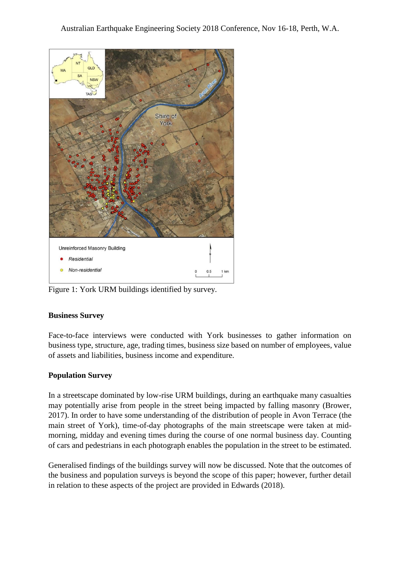

Figure 1: York URM buildings identified by survey.

#### **Business Survey**

Face-to-face interviews were conducted with York businesses to gather information on business type, structure, age, trading times, business size based on number of employees, value of assets and liabilities, business income and expenditure.

# **Population Survey**

In a streetscape dominated by low-rise URM buildings, during an earthquake many casualties may potentially arise from people in the street being impacted by falling masonry (Brower, 2017). In order to have some understanding of the distribution of people in Avon Terrace (the main street of York), time-of-day photographs of the main streetscape were taken at midmorning, midday and evening times during the course of one normal business day. Counting of cars and pedestrians in each photograph enables the population in the street to be estimated.

Generalised findings of the buildings survey will now be discussed. Note that the outcomes of the business and population surveys is beyond the scope of this paper; however, further detail in relation to these aspects of the project are provided in Edwards (2018).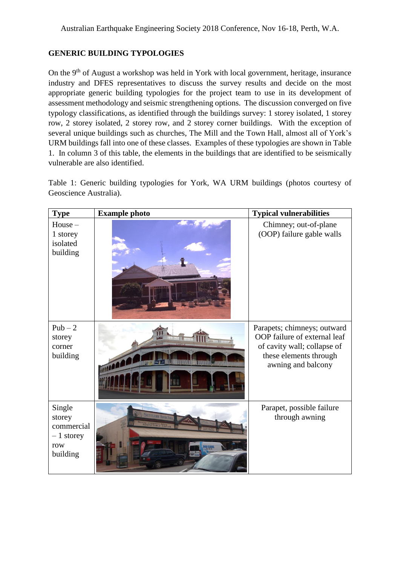#### **GENERIC BUILDING TYPOLOGIES**

On the  $9<sup>th</sup>$  of August a workshop was held in York with local government, heritage, insurance industry and DFES representatives to discuss the survey results and decide on the most appropriate generic building typologies for the project team to use in its development of assessment methodology and seismic strengthening options. The discussion converged on five typology classifications, as identified through the buildings survey: 1 storey isolated, 1 storey row, 2 storey isolated, 2 storey row, and 2 storey corner buildings. With the exception of several unique buildings such as churches, The Mill and the Town Hall, almost all of York's URM buildings fall into one of these classes. Examples of these typologies are shown in Table 1. In column 3 of this table, the elements in the buildings that are identified to be seismically vulnerable are also identified.

Table 1: Generic building typologies for York, WA URM buildings (photos courtesy of Geoscience Australia).

| <b>Type</b>                                                      | <b>Example photo</b>                             | <b>Typical vulnerabilities</b>                                                                                                             |
|------------------------------------------------------------------|--------------------------------------------------|--------------------------------------------------------------------------------------------------------------------------------------------|
| $House -$<br>1 storey<br>isolated<br>building                    |                                                  | Chimney; out-of-plane<br>(OOP) failure gable walls                                                                                         |
| $Pub-2$<br>storey<br>corner<br>building                          | 11112117<br><b>Littleti</b><br><b>1111 11111</b> | Parapets; chimneys; outward<br>OOP failure of external leaf<br>of cavity wall; collapse of<br>these elements through<br>awning and balcony |
| Single<br>storey<br>commercial<br>$-1$ storey<br>row<br>building | <b>RESPECTABLE COUPLES</b>                       | Parapet, possible failure<br>through awning                                                                                                |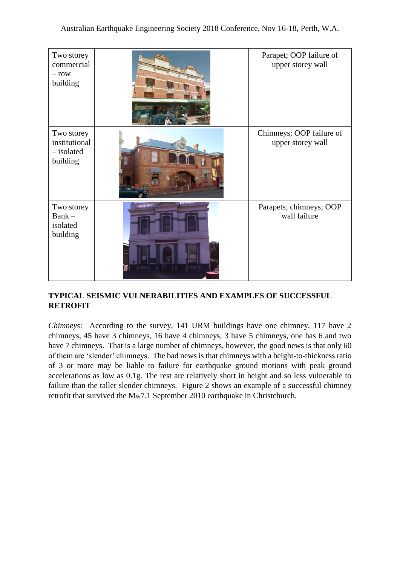| Two storey<br>commercial<br>$-$ row<br>building       |                   | Parapet; OOP failure of<br>upper storey wall  |
|-------------------------------------------------------|-------------------|-----------------------------------------------|
| Two storey<br>institutional<br>- isolated<br>building |                   | Chimneys; OOP failure of<br>upper storey wall |
| Two storey<br>$Bank -$<br>isolated<br>building        | <b>Bisterreer</b> | Parapets; chimneys; OOP<br>wall failure       |

# **TYPICAL SEISMIC VULNERABILITIES AND EXAMPLES OF SUCCESSFUL RETROFIT**

*Chimneys:* According to the survey, 141 URM buildings have one chimney, 117 have 2 chimneys, 45 have 3 chimneys, 16 have 4 chimneys, 3 have 5 chimneys, one has 6 and two have 7 chimneys. That is a large number of chimneys, however, the good news is that only 60 of them are 'slender' chimneys. The bad news is that chimneys with a height-to-thickness ratio of 3 or more may be liable to failure for earthquake ground motions with peak ground accelerations as low as 0.1g. The rest are relatively short in height and so less vulnerable to failure than the taller slender chimneys. Figure 2 shows an example of a successful chimney retrofit that survived the M<sub>W</sub>7.1 September 2010 earthquake in Christchurch.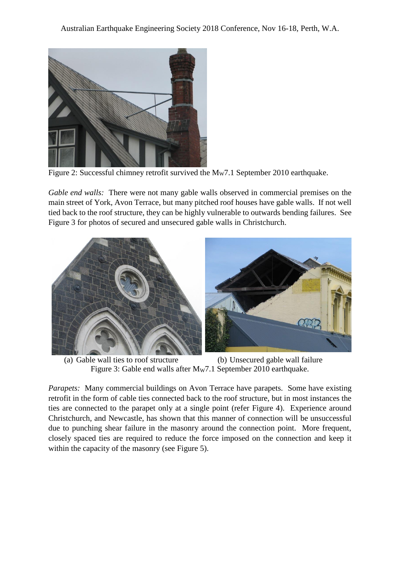

Figure 2: Successful chimney retrofit survived the  $M<sub>W</sub>$ 7.1 September 2010 earthquake.

*Gable end walls:* There were not many gable walls observed in commercial premises on the main street of York, Avon Terrace, but many pitched roof houses have gable walls. If not well tied back to the roof structure, they can be highly vulnerable to outwards bending failures. See Figure 3 for photos of secured and unsecured gable walls in Christchurch.



(a) Gable wall ties to roof structure (b) Unsecured gable wall failure Figure 3: Gable end walls after MW7.1 September 2010 earthquake.

*Parapets:* Many commercial buildings on Avon Terrace have parapets. Some have existing retrofit in the form of cable ties connected back to the roof structure, but in most instances the ties are connected to the parapet only at a single point (refer Figure 4). Experience around Christchurch, and Newcastle, has shown that this manner of connection will be unsuccessful due to punching shear failure in the masonry around the connection point. More frequent, closely spaced ties are required to reduce the force imposed on the connection and keep it within the capacity of the masonry (see Figure 5).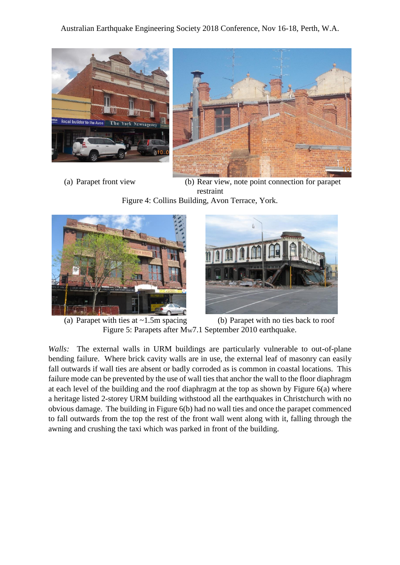![](_page_7_Picture_1.jpeg)

![](_page_7_Picture_2.jpeg)

(a) Parapet front view (b) Rear view, note point connection for parapet restraint Figure 4: Collins Building, Avon Terrace, York.

![](_page_7_Picture_5.jpeg)

![](_page_7_Picture_6.jpeg)

(a) Parapet with ties at  $\sim 1.5$ m spacing (b) Parapet with no ties back to roof Figure 5: Parapets after M<sub>W</sub>7.1 September 2010 earthquake.

*Walls:* The external walls in URM buildings are particularly vulnerable to out-of-plane bending failure. Where brick cavity walls are in use, the external leaf of masonry can easily fall outwards if wall ties are absent or badly corroded as is common in coastal locations. This failure mode can be prevented by the use of wall ties that anchor the wall to the floor diaphragm at each level of the building and the roof diaphragm at the top as shown by Figure 6(a) where a heritage listed 2-storey URM building withstood all the earthquakes in Christchurch with no obvious damage. The building in Figure 6(b) had no wall ties and once the parapet commenced to fall outwards from the top the rest of the front wall went along with it, falling through the awning and crushing the taxi which was parked in front of the building.